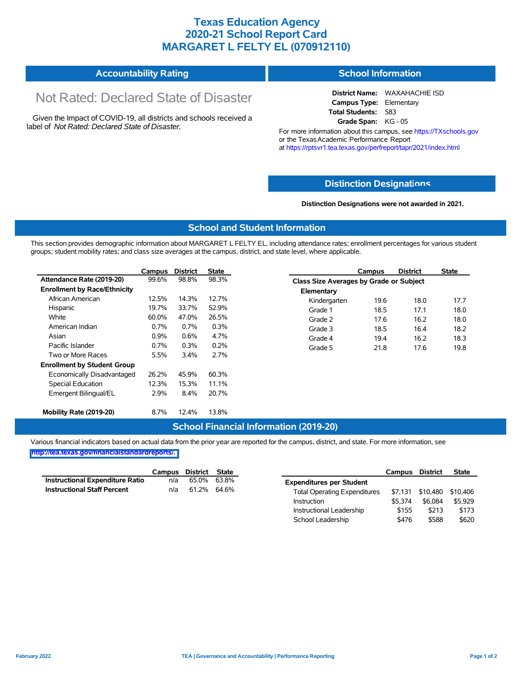## **Texas Education Agency 2020-21 School Report Card MARGARET L FELTY EL (070912110)**

#### **Accountability Rating School Information**

# Not Rated: Declared State of Disaster

Given the Impact of COVID-19, all districts and schools received a label of *Not Rated: Declared State of Disaster.*

**District Name:** WAXAHACHIE ISD **Campus Type:** Elementary **Total Students:** 583 **Grade Span:** KG - 05

For more information about this campus, see https://TXschools.gov or the Texas Academic Performance Report at https://rptsvr1.tea.texas.gov/perfreport/tapr/2021/index.html

#### **Distinction Designat[ions](https://TXschools.gov)**

**Distinction Designations were not awarded in 2021.**

School Leadership  $$476$  \$588 \$620

#### **School and Student Information**

This section provides demographic information about MARGARET L FELTY EL, including attendance rates; enrollment percentages for various student groups; student mobility rates; and class size averages at the campus, district, and state level, where applicable.

|                                     | Campus  | <b>District</b> | <b>State</b> |              | Campus                                  | <b>District</b> | <b>State</b> |  |  |  |
|-------------------------------------|---------|-----------------|--------------|--------------|-----------------------------------------|-----------------|--------------|--|--|--|
| Attendance Rate (2019-20)           | 99.6%   | 98.8%           | 98.3%        |              | Class Size Averages by Grade or Subject |                 |              |  |  |  |
| <b>Enrollment by Race/Ethnicity</b> |         |                 |              | Elementary   |                                         |                 |              |  |  |  |
| African American                    | 12.5%   | 14.3%           | 12.7%        | Kindergarten | 19.6                                    | 18.0            | 17.7         |  |  |  |
| Hispanic                            | 19.7%   | 33.7%           | 52.9%        | Grade 1      | 18.5                                    | 17.1            | 18.0         |  |  |  |
| White                               | 60.0%   | 47.0%           | 26.5%        | Grade 2      | 17.6                                    | 16.2            | 18.0         |  |  |  |
| American Indian                     | 0.7%    | 0.7%            | 0.3%         | Grade 3      | 18.5                                    | 16.4            | 18.2         |  |  |  |
| Asian                               | $0.9\%$ | 0.6%            | 4.7%         | Grade 4      | 19.4                                    | 16.2            | 18.3         |  |  |  |
| Pacific Islander                    | 0.7%    | 0.3%            | 0.2%         | Grade 5      | 21.8                                    | 17.6            | 19.8         |  |  |  |
| Two or More Races                   | 5.5%    | 3.4%            | 2.7%         |              |                                         |                 |              |  |  |  |
| <b>Enrollment by Student Group</b>  |         |                 |              |              |                                         |                 |              |  |  |  |
| Economically Disadvantaged          | 26.2%   | 45.9%           | 60.3%        |              |                                         |                 |              |  |  |  |
| Special Education                   | 12.3%   | 15.3%           | 11.1%        |              |                                         |                 |              |  |  |  |
| Emergent Bilingual/EL               | 2.9%    | 8.4%            | 20.7%        |              |                                         |                 |              |  |  |  |
|                                     |         |                 |              |              |                                         |                 |              |  |  |  |
| Mobility Rate (2019-20)             | 8.7%    | 12.4%           | 13.8%        |              |                                         |                 |              |  |  |  |

#### **School Financial Information (2019-20)**

Various financial indicators based on actual data from the prior year are reported for the campus, district, and state. For more information, see

**[http://tea.texas.gov/financialstandardreports/.](http://tea.texas.gov/financialstandardreports/)**

|                                        | Campus | District | <b>State</b> |                                     | Campus  | <b>District</b> | <b>State</b> |
|----------------------------------------|--------|----------|--------------|-------------------------------------|---------|-----------------|--------------|
| <b>Instructional Expenditure Ratio</b> | n/a    | 65.0%    | 63.8%        | <b>Expenditures per Student</b>     |         |                 |              |
| <b>Instructional Staff Percent</b>     | n/a    | 61.2%    | 64.6%        | <b>Total Operating Expenditures</b> | \$7.131 | \$10.480        | \$10.406     |
|                                        |        |          |              | Instruction                         | \$5.374 | \$6,084         | \$5,929      |
|                                        |        |          |              | Instructional Leadership            | \$155   | \$213           | \$173        |